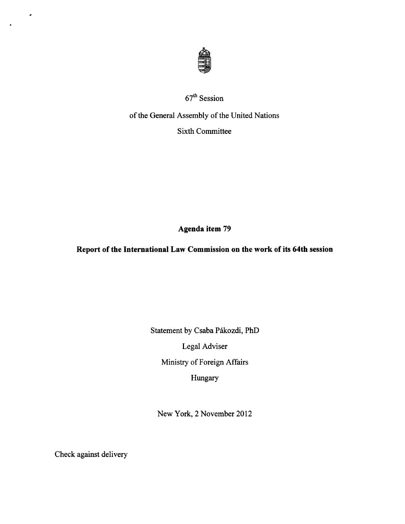

# 67th Session

# of the General Assembly of the United Nations Sixth Committee

**Agenda item 79** 

## **Report of the International Law Commission on the work of its 64th session**

Statement by Csaba Pákozdi, PhD Legal Adviser Ministry of Foreign Affairs Hungary

New York, 2 November 2012

Check against delivery

 $\bullet$ 

 $\bullet$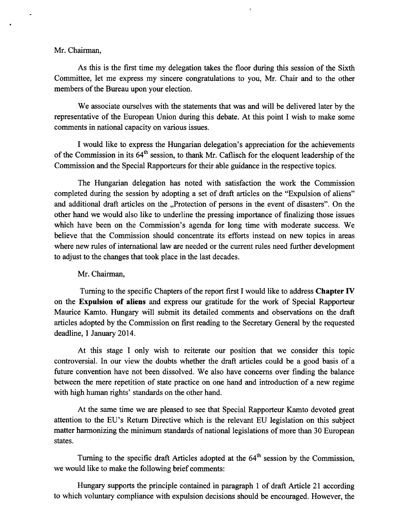## Mr. Chairman,

As this is the first time my delegation takes the floor during this session of the Sixth Committee, let me express my sincere congratulations to you, Mr. Chair and to the other members of the Bureau upon your election.

We associate ourselves with the statements that was and will be delivered later by the representative of the European Union during this debate. At this point I wish to make some comments in national capacity on various issues.

I would like to express the Hungarian delegation's appreciation for the achievements of the Commission in its 64<sup>th</sup> session, to thank Mr. Caflisch for the eloquent leadership of the Commission and the Special Rapporteurs for their able guidance in the respective topics.

The Hungarian delegation has noted with satisfaction the work the Commission completed during the session by adopting a set of draft articles on the "Expulsion of aliens" and additional draft articles on the ..Protection of persons in the event of disasters". On the other hand we would also like to underline the pressing importance of finalizing those issues which have been on the Commission's agenda for long time with moderate success. We believe that the Commission should concentrate its efforts instead on new topics in areas where new rules of international law are needed or the current rules need further development to adjust to the changes that took place in the last decades.

### Mr. Chairman,

Turning to the specific Chapters of the report first I would like to address **Chapter IV**  on the **Expulsion of aliens** and express our gratitude for the work of Special Rapporteur Maurice Kamto. Hungary will submit its detailed comments and observations on the draft articles adopted by the Commission on first reading to the Secretary General by the requested deadline, **1** January 2014.

At this stage I only wish to reiterate our position that we consider this topic controversial. In our view the doubts whether the draft articles could be a good basis of a future convention have not been dissolved. We also have concerns over finding the balance between the mere repetition of state practice on one hand and introduction of a new regime with high human rights' standards on the other hand.

At the same time we are pleased to see that Special Rapporteur Kamto devoted great attention to the EU's Return Directive which is the relevant EU legislation on this subject matter harmonizing the minimum standards of national legislations of more than 30 European states.

Turning to the specific draft Articles adopted at the  $64<sup>th</sup>$  session by the Commission, we would like to make the following brief comments:

Hungary supports the principle contained in paragraph 1 of draft Article 21 according to which voluntary compliance with expulsion decisions should be encouraged. However, the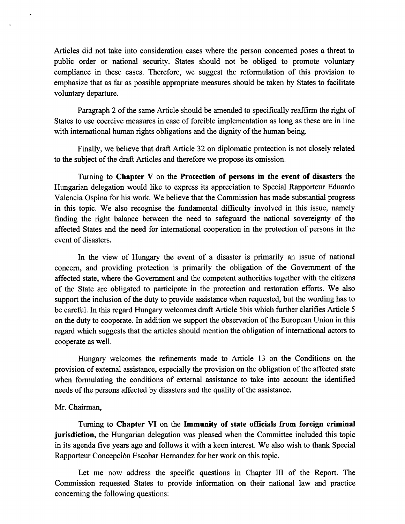Articles did not take into consideration cases where the person concerned poses a threat to public order or national security. States should not be obliged to promote voluntary compliance in these cases. Therefore, we suggest the reformulation of this provision to emphasize that as far as possible appropriate measures should be taken by States to facilitate voluntary departure.

Paragraph 2 of the same Article should be amended to specifically reaffirm the right of States to use coercive measures in case of forcible implementation as long as these are in line with international human rights obligations and the dignity of the human being.

Finally, we believe that draft Article 32 on diplomatic protection is not closely related to the subject of the draft Articles and therefore we propose its omission.

Turning to **Chapter V** on the **Protection of persons in the event of disasters** the Hungarian delegation would like to express its appreciation to Special Rapporteur Eduardo Valencia Ospina for his work. We believe that the Commission has made substantial progress in this topic. We also recognise the fundamental difficulty involved in this issue, namely finding the right balance between the need to safeguard the national sovereignty of the affected States and the need for international cooperation in the protection of persons in the event of disasters.

In the view of Hungary the event of a disaster is primarily an issue of national concern, and providing protection is primarily the obligation of the Government of the affected state, where the Government and the competent authorities together with the citizens of the State are obligated to participate in the protection and restoration efforts. We also support the inclusion of the duty to provide assistance when requested, but the wording has to be careful. In this regard Hungary welcomes draft Article Sbis which further clarifies Article 5 on the duty to cooperate. In addition we support the observation of the European Union in this regard which suggests that the articles should mention the obligation of international actors to cooperate as well.

Hungary welcomes the refinements made to Article 13 on the Conditions on the provision of external assistance, especially the provision on the obligation of the affected state when formulating the conditions of external assistance to take into account the identified needs of the persons affected by disasters and the quality of the assistance.

### Mr. Chairman,

Turning to **Chapter VI** on the **Immunity of state officials from foreign criminal jurisdiction,** the Hungarian delegation was pleased when the Committee included this topic in its agenda five years ago and follows it with a keen interest. We also wish to thank Special Rapporteur Concepcion Escobar Hernandez for her work on this topic.

Let me now address the specific questions in Chapter III of the Report. The Commission requested States to provide information on their national law and practice concerning the following questions: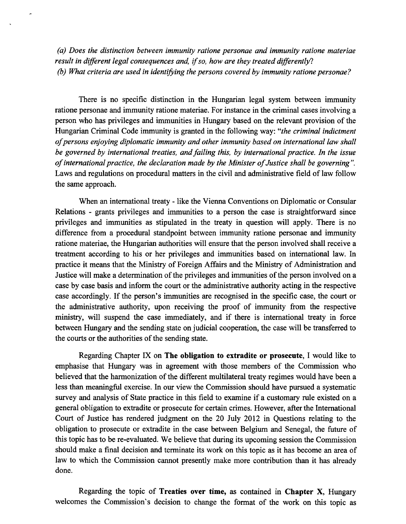*(a) Does the distinction between immunity ratione personae and immunity ratione materiae result in different legal consequences and, if so, how are they treated differently? (b) What criteria are used in identifying the persons covered by immunity ratione personae?* 

There is no specific distinction in the Hungarian legal system between immunity ratione personae and immunity ratione materiae. For instance in the criminal cases involving a person who has privileges and immunities in Hungary based on the relevant provision of the Hungarian Criminal Code immunity is granted in the following way: *"the criminal indictment of persons enjoying diplomatic immunity and other immunity based on international law shall be governed by international treaties, and failing this, by international practice. In the issue of international practice, the declaration made by the Minister of Justice shall be governing".*  Laws and regulations on procedural matters in the civil and administrative field of law follow the same approach.

When an international treaty - like the Vienna Conventions on Diplomatic or Consular Relations - grants privileges and immunities to a person the case is straightforward since privileges and immunities as stipulated in the treaty in question will apply. There is no difference from a procedural standpoint between immunity ratione personae and immunity ratione materiae, the Hungarian authorities will ensure that the person involved shall receive a treatment according to his or her privileges and immunities based on international law. In practice it means that the Ministry of Foreign Affairs and the Ministry of Administration and Justice will make a determination of the privileges and immunities of the person involved on a case by case basis and inform the court or the administrative authority acting in the respective case accordingly. If the person's immunities are recognised in the specific case, the court or the administrative authority, upon receiving the proof of immunity from the respective ministry, will suspend the case immediately, and if there is international treaty in force between Hungary and the sending state on judicial cooperation, the case will be transferred to the courts or the authorities of the sending state.

Regarding Chapter IX on **The obligation to extradite or prosecute,** I would like to emphasise that Hungary was in agreement with those members of the Commission who believed that the harmonization of the different multilateral treaty regimes would have been a less than meaningful exercise. In our view the Commission should have pursued a systematic survey and analysis of State practice in this field to examine if a customary rule existed on a general obligation to extradite or prosecute for certain crimes. However, after the International Court of Justice has rendered judgment on the 20 July 2012 in Questions relating to the obligation to prosecute or extradite in the case between Belgium and Senegal, the future of this topic has to be re-evaluated. We believe that during its upcoming session the Commission should make a final decision and terminate its work on this topic as it has become an area of law to which the Commission cannot presently make more contribution than it has already done.

Regarding the topic of **Treaties over time,** as contained in **Chapter X,** Hungary welcomes the Commission's decision to change the format of the work on this topic as